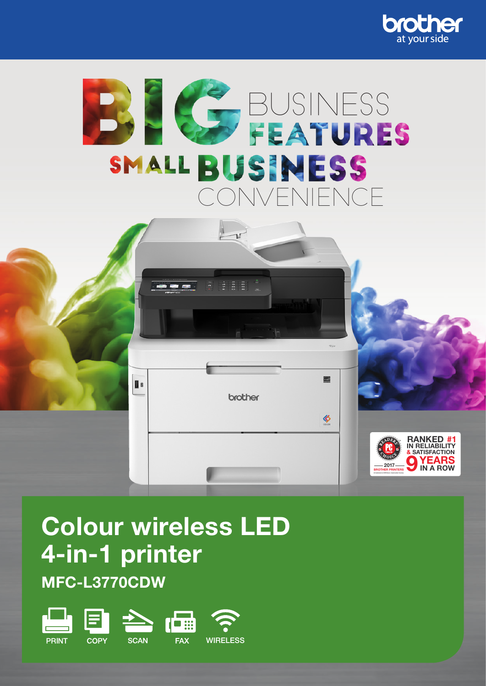





# Colour wireless LED 4-in-1 printer

MFC-L3770CDW

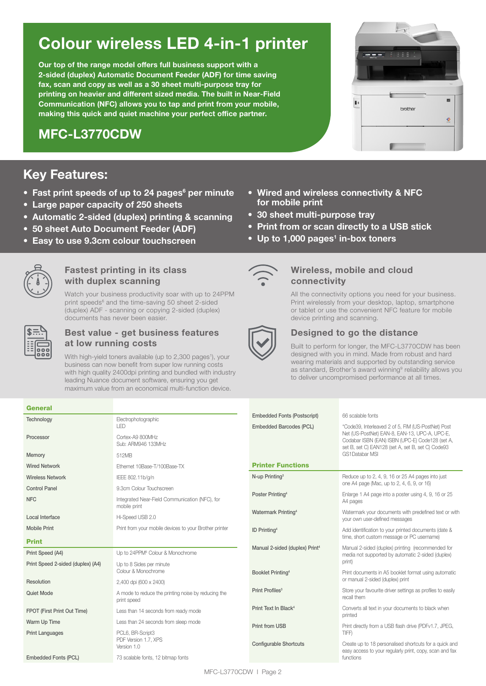## Colour wireless LED 4-in-1 printer

Our top of the range model offers full business support with a 2-sided (duplex) Automatic Document Feeder (ADF) for time saving fax, scan and copy as well as a 30 sheet multi-purpose tray for printing on heavier and different sized media. The built in Near-Field Communication (NFC) allows you to tap and print from your mobile, making this quick and quiet machine your perfect office partner.

### MFC-L3770CDW

### Key Features:

- Fast print speeds of up to 24 pages<sup>6</sup> per minute
- Large paper capacity of 250 sheets
- Automatic 2-sided (duplex) printing & scanning
- 50 sheet Auto Document Feeder (ADF)
- Easy to use 9.3cm colour touchscreen



#### Fastest printing in its class with duplex scanning

Watch your business productivity soar with up to 24PPM print speeds<sup>6</sup> and the time-saving 50 sheet 2-sided (duplex) ADF - scanning or copying 2-sided (duplex) documents has never been easier.

General

### Best value - get business features at low running costs

With high-yield toners available (up to 2,300 pages<sup>1</sup>), your business can now benefit from super low running costs with high quality 2400dpi printing and bundled with industry leading Nuance document software, ensuring you get maximum value from an economical multi-function device.

#### • Wired and wireless connectivity & NFC for mobile print

- 30 sheet multi-purpose trav
- Print from or scan directly to a USB stick
- Up to 1,000 pages<sup>1</sup> in-box toners



#### Wireless, mobile and cloud connectivity

All the connectivity options you need for your business. Print wirelessly from your desktop, laptop, smartphone or tablet or use the convenient NFC feature for mobile device printing and scanning.



#### Designed to go the distance

Built to perform for longer, the MFC-L3770CDW has been designed with you in mind. Made from robust and hard wearing materials and supported by outstanding service as standard, Brother's award winning<sup>9</sup> reliability allows you to deliver uncompromised performance at all times.

| ucncial                           |                                                                    |                                            |                                                                                                        |
|-----------------------------------|--------------------------------------------------------------------|--------------------------------------------|--------------------------------------------------------------------------------------------------------|
| Technology                        | Electrophotographic                                                | <b>Embedded Fonts (Postscript)</b>         | 66 scalable fonts                                                                                      |
|                                   | I FD                                                               | Embedded Barcodes (PCL)                    | *Code39, Interleaved 2 of 5, FIM (US-PostNet) Post                                                     |
| Processor                         | Cortex-A9 800MHz                                                   |                                            | Net (US-PostNet) EAN-8, EAN-13, UPC-A, UPC-E,<br>Codabar ISBN (EAN) ISBN (UPC-E) Code128 (set A,       |
|                                   | Sub: ARM946 133MHz                                                 |                                            | set B, set C) EAN128 (set A, set B, set C) Code93                                                      |
| Memory                            | 512MB                                                              |                                            | <b>GS1Databar MSI</b>                                                                                  |
| <b>Wired Network</b>              | Ethernet 10Base-T/100Base-TX                                       | <b>Printer Functions</b>                   |                                                                                                        |
| <b>Wireless Network</b>           | IEEE 802.11b/g/n                                                   | N-up Printing <sup>3</sup>                 | Reduce up to 2, 4, 9, 16 or 25 A4 pages into just                                                      |
| <b>Control Panel</b>              | 9.3cm Colour Touchscreen                                           |                                            | one A4 page (Mac, up to 2, 4, 6, 9, or 16)                                                             |
| <b>NFC</b>                        | Integrated Near-Field Communication (NFC), for                     | Poster Printing <sup>4</sup>               | Enlarge 1 A4 page into a poster using 4, 9, 16 or 25                                                   |
|                                   | mobile print                                                       |                                            | A4 pages                                                                                               |
| Local Interface                   | Hi-Speed USB 2.0                                                   | Watermark Printing <sup>4</sup>            | Watermark your documents with predefined text or with<br>your own user-defined messages                |
| <b>Mobile Print</b>               | Print from your mobile devices to your Brother printer             |                                            |                                                                                                        |
|                                   |                                                                    | <b>ID Printing4</b>                        | Add identification to your printed documents (date &<br>time, short custom message or PC username)     |
| <b>Print</b>                      |                                                                    |                                            |                                                                                                        |
| Print Speed (A4)                  | Up to 24PPM <sup>6</sup> Colour & Monochrome                       | Manual 2-sided (duplex) Print <sup>4</sup> | Manual 2-sided (duplex) printing (recommended for<br>media not supported by automatic 2-sided (duplex) |
| Print Speed 2-sided (duplex) (A4) | Up to 8 Sides per minute                                           |                                            | print)                                                                                                 |
|                                   | Colour & Monochrome                                                | Booklet Printing <sup>4</sup>              | Print documents in A5 booklet format using automatic                                                   |
| Resolution                        | 2,400 dpi (600 x 2400)                                             |                                            | or manual 2-sided (duplex) print                                                                       |
|                                   |                                                                    | Print Profiles <sup>3</sup>                | Store your favourite driver settings as profiles to easily                                             |
| Quiet Mode                        | A mode to reduce the printing noise by reducing the<br>print speed |                                            | recall them                                                                                            |
|                                   |                                                                    | Print Text In Black <sup>4</sup>           | Converts all text in your documents to black when                                                      |
| FPOT (First Print Out Time)       | Less than 14 seconds from ready mode                               |                                            | printed                                                                                                |
| Warm Up Time                      | Less than 24 seconds from sleep mode                               | Print from USB                             | Print directly from a USB flash drive (PDFv1.7, JPEG,                                                  |
| <b>Print Languages</b>            | PCL6, BR-Script3                                                   |                                            | TIFF)                                                                                                  |
|                                   | PDF Version 1.7, XPS<br>Version 1.0                                | <b>Configurable Shortcuts</b>              | Create up to 18 personalised shortcuts for a quick and                                                 |
|                                   |                                                                    |                                            | easy access to your regularly print, copy, scan and fax                                                |
| Embedded Fonts (PCL)              | 73 scalable fonts, 12 bitmap fonts                                 |                                            | functions                                                                                              |

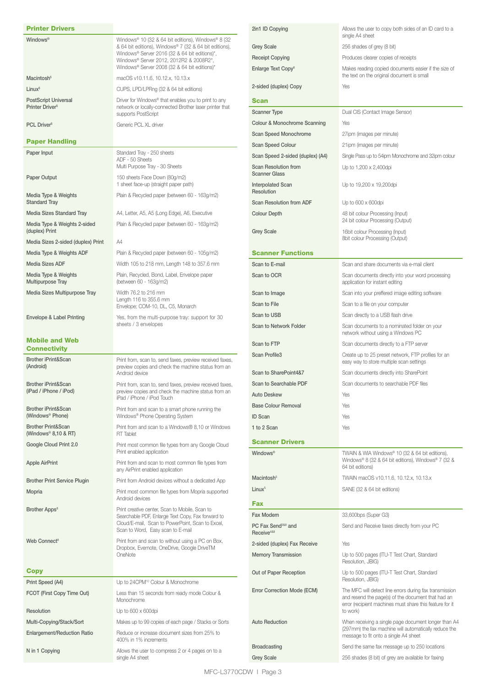| <b>Printer Drivers</b>                                            |                                                                                                                                                                                                                                                          | 2in1 ID Co                              |
|-------------------------------------------------------------------|----------------------------------------------------------------------------------------------------------------------------------------------------------------------------------------------------------------------------------------------------------|-----------------------------------------|
| Windows <sup>®</sup>                                              | Windows® 10 (32 & 64 bit editions), Windows® 8 (32<br>& 64 bit editions), Windows® 7 (32 & 64 bit editions),<br>Windows® Server 2016 (32 & 64 bit editions)*,<br>Windows® Server 2012, 2012R2 & 2008R2*,<br>Windows® Server 2008 (32 & 64 bit editions)* | <b>Grey Scale</b><br>Receipt Co         |
| Macintosh <sup>5</sup>                                            | macOS v10.11.6, 10.12.x, 10.13.x                                                                                                                                                                                                                         | <b>Enlarge Te</b>                       |
| Linux <sup>5</sup>                                                | CUPS, LPD/LPRng (32 & 64 bit editions)                                                                                                                                                                                                                   | 2-sided (dr                             |
| <b>PostScript Universal</b>                                       | Driver for Windows <sup>®</sup> that enables you to print to any                                                                                                                                                                                         | Scan                                    |
| Printer Driver <sup>5</sup>                                       | network or locally-connected Brother laser printer that<br>supports PostScript                                                                                                                                                                           | Scanner Ty                              |
| PCL Driver <sup>5</sup>                                           | Generic PCL XL driver                                                                                                                                                                                                                                    | Colour & N                              |
| <b>Paper Handling</b>                                             |                                                                                                                                                                                                                                                          | Scan Spee                               |
| Paper Input                                                       | Standard Tray - 250 sheets                                                                                                                                                                                                                               | Scan Spee<br>Scan Spee                  |
|                                                                   | ADF - 50 Sheets<br>Multi Purpose Tray - 30 Sheets                                                                                                                                                                                                        | <b>Scan Reso</b>                        |
| Paper Output                                                      | 150 sheets Face Down (80g/m2)<br>1 sheet face-up (straight paper path)                                                                                                                                                                                   | Scanner G<br>Interpolate                |
| Media Type & Weights<br><b>Standard Tray</b>                      | Plain & Recycled paper (between 60 - 163g/m2)                                                                                                                                                                                                            | Resolution<br><b>Scan Reso</b>          |
| Media Sizes Standard Tray                                         | A4, Letter, A5, A5 (Long Edge), A6, Executive                                                                                                                                                                                                            | Colour De                               |
| Media Type & Weights 2-sided<br>(duplex) Print                    | Plain & Recycled paper (between 60 - 163g/m2)                                                                                                                                                                                                            | <b>Grey Scale</b>                       |
| Media Sizes 2-sided (duplex) Print                                | A4                                                                                                                                                                                                                                                       |                                         |
| Media Type & Weights ADF                                          | Plain & Recycled paper (between 60 - 105g/m2)                                                                                                                                                                                                            | <b>Scanne</b>                           |
| <b>Media Sizes ADF</b>                                            | Width 105 to 218 mm, Length 148 to 357.6 mm                                                                                                                                                                                                              | Scan to E-                              |
| Media Type & Weights<br>Multipurpose Tray                         | Plain, Recycled, Bond, Label, Envelope paper<br>(between 60 - 163g/m2)                                                                                                                                                                                   | Scan to O                               |
| Media Sizes Multipurpose Tray                                     | Width 76.2 to 216 mm<br>Length 116 to 355.6 mm                                                                                                                                                                                                           | Scan to Im                              |
|                                                                   | Envelope; COM-10, DL, C5, Monarch                                                                                                                                                                                                                        | Scan to Fil<br>Scan to U                |
| Envelope & Label Printing                                         | Yes, from the multi-purpose tray: support for 30<br>sheets / 3 envelopes                                                                                                                                                                                 | Scan to Ne                              |
| <b>Mobile and Web</b>                                             |                                                                                                                                                                                                                                                          | Scan to FT                              |
| <b>Connectivity</b>                                               |                                                                                                                                                                                                                                                          | <b>Scan Profi</b>                       |
| Brother iPrint&Scan<br>(Android)                                  | Print from, scan to, send faxes, preview received faxes,<br>preview copies and check the machine status from an<br>Android device                                                                                                                        | Scan to Sh                              |
| Brother iPrint&Scan                                               | Print from, scan to, send faxes, preview received faxes,                                                                                                                                                                                                 | Scan to Se                              |
| (iPad / iPhone / iPod)                                            | preview copies and check the machine status from an<br>iPad / iPhone / iPod Touch                                                                                                                                                                        | <b>Auto Desk</b>                        |
| Brother iPrint&Scan<br>(Windows <sup>®</sup> Phone)               | Print from and scan to a smart phone running the<br>Windows® Phone Operating System                                                                                                                                                                      | <b>Base Colo</b><br>ID Scan             |
| <b>Brother Print&amp;Scan</b><br>(Windows <sup>®</sup> 8,10 & RT) | Print from and scan to a Windows® 8,10 or Windows<br>RT Tablet                                                                                                                                                                                           | 1 to 2 Sca                              |
| Google Cloud Print 2.0                                            | Print most common file types from any Google Cloud<br>Print enabled application                                                                                                                                                                          | <b>Scanne</b><br><b>Windows®</b>        |
| <b>Apple AirPrint</b>                                             | Print from and scan to most common file types from                                                                                                                                                                                                       |                                         |
| <b>Brother Print Service Plugin</b>                               | any AirPrint enabled application<br>Print from Android devices without a dedicated App                                                                                                                                                                   | Macintosh                               |
| Mopria                                                            | Print most common file types from Mopria supported                                                                                                                                                                                                       | Linux <sup>5</sup>                      |
|                                                                   | Android devices                                                                                                                                                                                                                                          | <b>Fax</b>                              |
| Brother Apps <sup>8</sup>                                         | Print creative center, Scan to Mobile, Scan to<br>Searchable PDF, Enlarge Text Copy, Fax forward to                                                                                                                                                      | Fax Moder                               |
|                                                                   | Cloud/E-mail, Scan to PowerPoint, Scan to Excel,<br>Scan to Word, Easy scan to E-mail                                                                                                                                                                    | PC Fax Se<br>Receive <sup>4&amp;8</sup> |
| Web Connect <sup>8</sup>                                          | Print from and scan to without using a PC on Box,                                                                                                                                                                                                        | 2-sided (dr                             |
|                                                                   | Dropbox, Evernote, OneDrive, Google DriveTM<br>OneNote                                                                                                                                                                                                   | Memory Tr                               |
| <b>Copy</b>                                                       |                                                                                                                                                                                                                                                          | Out of Pap                              |
| Print Speed (A4)                                                  | Up to 24CPM <sup>10</sup> Colour & Monochrome                                                                                                                                                                                                            |                                         |
| FCOT (First Copy Time Out)                                        | Less than 15 seconds from ready mode Colour &<br>Monochrome                                                                                                                                                                                              | Error Corre                             |
| Resolution                                                        | Up to 600 x 600dpi                                                                                                                                                                                                                                       |                                         |
| Multi-Copying/Stack/Sort                                          | Makes up to 99 copies of each page / Stacks or Sorts                                                                                                                                                                                                     | <b>Auto Redu</b>                        |
| <b>Enlargement/Reduction Ratio</b>                                | Reduce or increase document sizes from 25% to<br>400% in 1% increments                                                                                                                                                                                   |                                         |
| N in 1 Copying                                                    | Allows the user to compress 2 or 4 pages on to a<br>single A4 sheet                                                                                                                                                                                      | <b>Broadcast</b><br><b>Grey Scale</b>   |

| 2in1 ID Copying                                                  | Allows the user to copy both sides of an ID card to a<br>single A4 sheet                                                                                                              |
|------------------------------------------------------------------|---------------------------------------------------------------------------------------------------------------------------------------------------------------------------------------|
| <b>Grey Scale</b>                                                | 256 shades of grey (8 bit)                                                                                                                                                            |
| <b>Receipt Copying</b>                                           | Produces clearer copies of receipts                                                                                                                                                   |
| Enlarge Text Copy <sup>8</sup>                                   | Makes reading copied documents easier if the size of<br>the text on the original document is small                                                                                    |
| 2-sided (duplex) Copy                                            | Yes                                                                                                                                                                                   |
| Scan                                                             |                                                                                                                                                                                       |
| Scanner Type                                                     | Dual CIS (Contact Image Sensor)                                                                                                                                                       |
| Colour & Monochrome Scanning                                     | Yes                                                                                                                                                                                   |
| <b>Scan Speed Monochrome</b>                                     | 27ipm (images per minute)                                                                                                                                                             |
| <b>Scan Speed Colour</b>                                         | 21ipm (images per minute)                                                                                                                                                             |
| Scan Speed 2-sided (duplex) (A4)                                 | Single Pass up to 54ipm Monochrome and 32ipm colour                                                                                                                                   |
| Scan Resolution from<br><b>Scanner Glass</b>                     | Up to 1,200 x 2,400 dpi                                                                                                                                                               |
| <b>Interpolated Scan</b><br>Resolution                           | Up to 19,200 x 19,200dpi                                                                                                                                                              |
| Scan Resolution from ADF                                         | Up to 600 x 600dpi                                                                                                                                                                    |
| <b>Colour Depth</b>                                              | 48 bit colour Processing (Input)<br>24 bit colour Processing (Output)                                                                                                                 |
| <b>Grey Scale</b>                                                | 16bit colour Processing (Input)<br>8bit colour Processing (Output)                                                                                                                    |
| <b>Scanner Functions</b>                                         |                                                                                                                                                                                       |
| Scan to E-mail                                                   | Scan and share documents via e-mail client                                                                                                                                            |
| Scan to OCR                                                      | Scan documents directly into your word processing<br>application for instant editing                                                                                                  |
| Scan to Image                                                    | Scan into your preffered image editing software                                                                                                                                       |
| Scan to File                                                     | Scan to a file on your computer                                                                                                                                                       |
| Scan to USB                                                      | Scan directly to a USB flash drive                                                                                                                                                    |
| <b>Scan to Network Folder</b>                                    | Scan documents to a nominated folder on your<br>network without using a Windows PC                                                                                                    |
| Scan to FTP                                                      | Scan documents directly to a FTP server                                                                                                                                               |
| Scan Profile3                                                    | Create up to 25 preset network, FTP profiles for an<br>easy way to store multiple scan settings                                                                                       |
| Scan to SharePoint4&7                                            | Scan documents directly into SharePoint                                                                                                                                               |
| Scan to Searchable PDF                                           | Scan documents to searchable PDF files                                                                                                                                                |
| Auto Deskew                                                      | Yes                                                                                                                                                                                   |
| <b>Base Colour Removal</b>                                       | Yes                                                                                                                                                                                   |
| ID Scan                                                          | Yes                                                                                                                                                                                   |
| 1 to 2 Scan                                                      | Yes                                                                                                                                                                                   |
| <b>Scanner Drivers</b>                                           |                                                                                                                                                                                       |
| Windows <sup>®</sup>                                             | TWAIN & WIA Windows® 10 (32 & 64 bit editions),<br>Windows® 8 (32 & 64 bit editions), Windows® 7 (32 &<br>64 bit editions)                                                            |
| Macintosh <sup>5</sup>                                           | TWAIN macOS v10.11.6, 10.12.x, 10.13.x                                                                                                                                                |
| Linux <sup>5</sup>                                               | SANE (32 & 64 bit editions)                                                                                                                                                           |
| Fax                                                              |                                                                                                                                                                                       |
| Fax Modem                                                        | 33,600bps (Super G3)                                                                                                                                                                  |
| PC Fax Send <sup>3&amp;8</sup> and<br>Receive <sup>4&amp;8</sup> | Send and Receive faxes directly from your PC                                                                                                                                          |
| 2-sided (duplex) Fax Receive                                     | Yes                                                                                                                                                                                   |
| <b>Memory Transmission</b>                                       | Up to 500 pages (ITU-T Test Chart, Standard<br>Resolution, JBIG)                                                                                                                      |
| Out of Paper Reception                                           | Up to 500 pages (ITU-T Test Chart, Standard<br>Resolution, JBIG)                                                                                                                      |
| Error Correction Mode (ECM)                                      | The MFC will detect line errors during fax transmission<br>and resend the page(s) of the document that had an<br>error (recipient machines must share this feature for it<br>to work) |
| Auto Reduction                                                   | When receiving a single page document longer than A4<br>(297mm) the fax machine will automatically reduce the<br>message to fit onto a single A4 sheet                                |
| <b>Broadcasting</b>                                              | Send the same fax message up to 250 locations                                                                                                                                         |
| <b>Grey Scale</b>                                                | 256 shades (8 bit) of grey are available for faxing                                                                                                                                   |